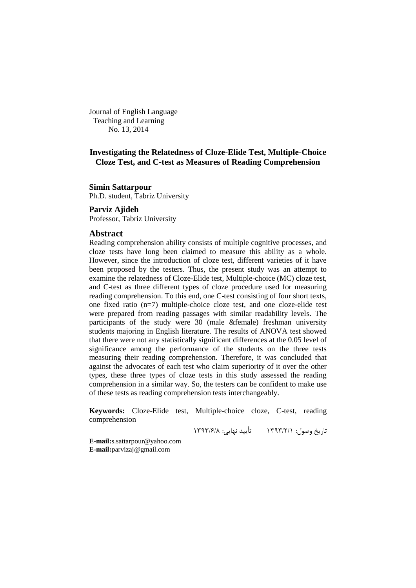Journal of English Language Teaching and Learning No. 13, 2014

# **Investigating the Relatedness of Cloze-Elide Test, Multiple-Choice Cloze Test, and C-test as Measures of Reading Comprehension**

### **Simin Sattarpour**

Ph.D. student, Tabriz University

# **Parviz Ajideh**

Professor, Tabriz University

#### **Abstract**

Reading comprehension ability consists of multiple cognitive processes, and cloze tests have long been claimed to measure this ability as a whole. However, since the introduction of cloze test, different varieties of it have been proposed by the testers. Thus, the present study was an attempt to examine the relatedness of Cloze-Elide test, Multiple-choice (MC) cloze test, and C-test as three different types of cloze procedure used for measuring reading comprehension. To this end, one C-test consisting of four short texts, one fixed ratio (n=7) multiple-choice cloze test, and one cloze-elide test were prepared from reading passages with similar readability levels. The participants of the study were 30 (male &female) freshman university students majoring in English literature. The results of ANOVA test showed that there were not any statistically significant differences at the 0.05 level of significance among the performance of the students on the three tests measuring their reading comprehension. Therefore, it was concluded that against the advocates of each test who claim superiority of it over the other types, these three types of cloze tests in this study assessed the reading comprehension in a similar way. So, the testers can be confident to make use of these tests as reading comprehension tests interchangeably.

**Keywords:** Cloze-Elide test, Multiple-choice cloze, C-test, reading comprehension

تاریخ وصول: 1333/2/1 تأیید نهایی: 1333/6/8

**E-mail:**[s.sattarpour@yahoo.com](mailto:s.sattarpour@yahoo.com) **E-mail:**[parvizaj@gmail.com](mailto:parvizaj@gmail.com)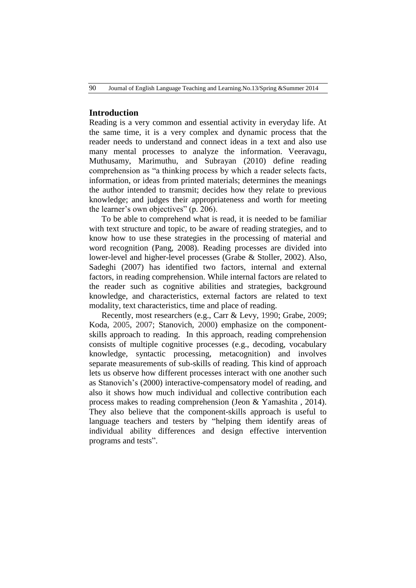# **Introduction**

Reading is a very common and essential activity in everyday life. At the same time, it is a very complex and dynamic process that the reader needs to understand and connect ideas in a text and also use many mental processes to analyze the information. Veeravagu, Muthusamy, Marimuthu, and Subrayan (2010) define reading comprehension as "a thinking process by which a reader selects facts, information, or ideas from printed materials; determines the meanings the author intended to transmit; decides how they relate to previous knowledge; and judges their appropriateness and worth for meeting the learner's own objectives" (p. 206).

To be able to comprehend what is read, it is needed to be familiar with text structure and topic, to be aware of reading strategies, and to know how to use these strategies in the processing of material and word recognition (Pang, 2008). Reading processes are divided into lower-level and higher-level processes (Grabe & Stoller, 2002). Also, Sadeghi (2007) has identified two factors, internal and external factors, in reading comprehension. While internal factors are related to the reader such as cognitive abilities and strategies, background knowledge, and characteristics, external factors are related to text modality, text characteristics, time and place of reading.

Recently, most researchers (e.g., Carr & Levy, 1990; Grabe, 2009; Koda, 2005, 2007; Stanovich, 2000) emphasize on the componentskills approach to reading. In this approach, reading comprehension consists of multiple cognitive processes (e.g., decoding, vocabulary knowledge, syntactic processing, metacognition) and involves separate measurements of sub-skills of reading. This kind of approach lets us observe how different processes interact with one another such as Stanovich's (2000) interactive-compensatory model of reading, and also it shows how much individual and collective contribution each process makes to reading comprehension (Jeon & Yamashita , 2014). They also believe that the component-skills approach is useful to language teachers and testers by "helping them identify areas of individual ability differences and design effective intervention programs and tests".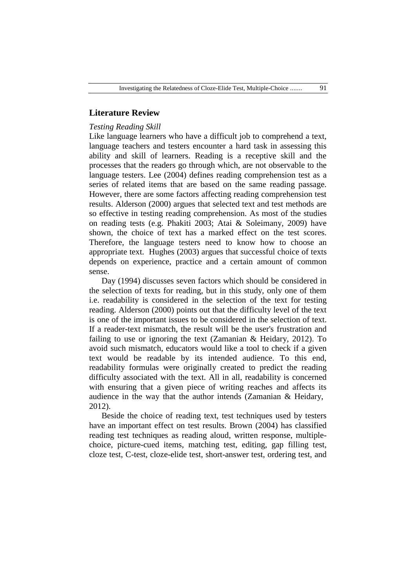# **Literature Review**

## *Testing Reading Skill*

Like language learners who have a difficult job to comprehend a text, language teachers and testers encounter a hard task in assessing this ability and skill of learners. Reading is a receptive skill and the processes that the readers go through which, are not observable to the language testers. Lee (2004) defines reading comprehension test as a series of related items that are based on the same reading passage. However, there are some factors affecting reading comprehension test results. Alderson (2000) argues that selected text and test methods are so effective in testing reading comprehension. As most of the studies on reading tests (e.g. Phakiti 2003; Atai & Soleimany, 2009) have shown, the choice of text has a marked effect on the test scores. Therefore, the language testers need to know how to choose an appropriate text. Hughes (2003) argues that successful choice of texts depends on experience, practice and a certain amount of common sense.

Day (1994) discusses seven factors which should be considered in the selection of texts for reading, but in this study, only one of them i.e. readability is considered in the selection of the text for testing reading. Alderson (2000) points out that the difficulty level of the text is one of the important issues to be considered in the selection of text. If a reader-text mismatch, the result will be the user's frustration and failing to use or ignoring the text (Zamanian & Heidary, 2012). To avoid such mismatch, educators would like a tool to check if a given text would be readable by its intended audience. To this end, readability formulas were originally created to predict the reading difficulty associated with the text. All in all, readability is concerned with ensuring that a given piece of writing reaches and affects its audience in the way that the author intends (Zamanian & Heidary, 2012).

Beside the choice of reading text, test techniques used by testers have an important effect on test results. Brown (2004) has classified reading test techniques as reading aloud, written response, multiplechoice, picture-cued items, matching test, editing, gap filling test, cloze test, C-test, cloze-elide test, short-answer test, ordering test, and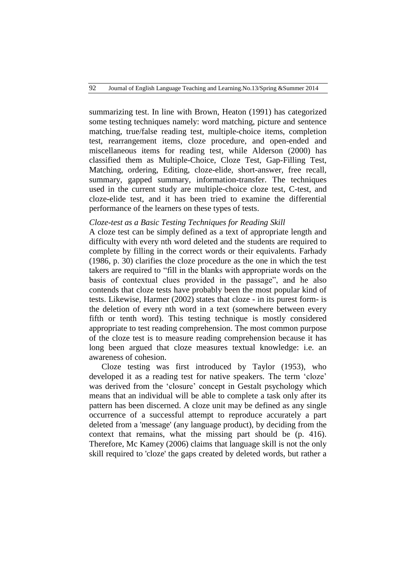summarizing test. In line with Brown, Heaton (1991) has categorized some testing techniques namely: word matching, picture and sentence matching, true/false reading test, multiple-choice items, completion test, rearrangement items, cloze procedure, and open-ended and miscellaneous items for reading test, while Alderson (2000) has classified them as Multiple-Choice, Cloze Test, Gap-Filling Test, Matching, ordering, Editing, cloze-elide, short-answer, free recall, summary, gapped summary, information-transfer. The techniques used in the current study are multiple-choice cloze test, C-test, and cloze-elide test, and it has been tried to examine the differential performance of the learners on these types of tests.

## *Cloze-test as a Basic Testing Techniques for Reading Skill*

A cloze test can be simply defined as a text of appropriate length and difficulty with every nth word deleted and the students are required to complete by filling in the correct words or their equivalents. Farhady (1986, p. 30) clarifies the cloze procedure as the one in which the test takers are required to "fill in the blanks with appropriate words on the basis of contextual clues provided in the passage", and he also contends that cloze tests have probably been the most popular kind of tests. Likewise, Harmer (2002) states that cloze - in its purest form- is the deletion of every nth word in a text (somewhere between every fifth or tenth word). This testing technique is mostly considered appropriate to test reading comprehension. The most common purpose of the cloze test is to measure reading comprehension because it has long been argued that cloze measures textual knowledge: i.e. an awareness of cohesion.

Cloze testing was first introduced by Taylor (1953), who developed it as a reading test for native speakers. The term 'cloze' was derived from the 'closure' concept in Gestalt psychology which means that an individual will be able to complete a task only after its pattern has been discerned. A cloze unit may be defined as any single occurrence of a successful attempt to reproduce accurately a part deleted from a 'message' (any language product), by deciding from the context that remains, what the missing part should be (p. 416). Therefore, Mc Kamey (2006) claims that language skill is not the only skill required to 'cloze' the gaps created by deleted words, but rather a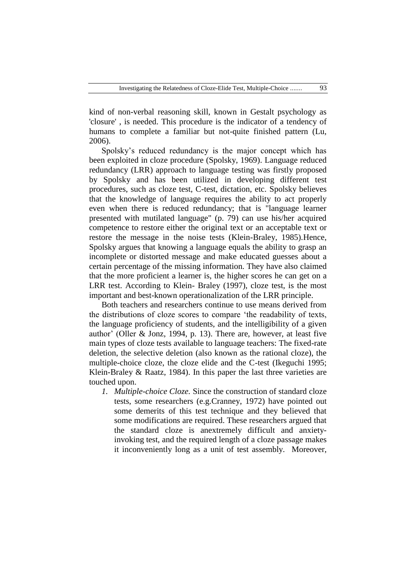kind of non-verbal reasoning skill, known in Gestalt psychology as 'closure' , is needed. This procedure is the indicator of a tendency of humans to complete a familiar but not-quite finished pattern (Lu, 2006).

Spolsky's reduced redundancy is the major concept which has been exploited in cloze procedure (Spolsky, 1969). Language reduced redundancy (LRR) approach to language testing was firstly proposed by Spolsky and has been utilized in developing different test procedures, such as cloze test, C-test, dictation, etc. Spolsky believes that the knowledge of language requires the ability to act properly even when there is reduced redundancy; that is "language learner presented with mutilated language" (p. 79) can use his/her acquired competence to restore either the original text or an acceptable text or restore the message in the noise tests (Klein-Braley, 1985).Hence, Spolsky argues that knowing a language equals the ability to grasp an incomplete or distorted message and make educated guesses about a certain percentage of the missing information. They have also claimed that the more proficient a learner is, the higher scores he can get on a LRR test. According to Klein- Braley (1997), cloze test, is the most important and best-known operationalization of the LRR principle.

Both teachers and researchers continue to use means derived from the distributions of cloze scores to compare 'the readability of texts, the language proficiency of students, and the intelligibility of a given author' (Oller & Jonz, 1994, p. 13). There are, however, at least five main types of cloze tests available to language teachers: The fixed-rate deletion, the selective deletion (also known as the rational cloze), the multiple-choice cloze, the cloze elide and the C-test (Ikeguchi 1995; Klein-Braley & Raatz, 1984). In this paper the last three varieties are touched upon.

*1. Multiple-choice Cloze.* Since the construction of standard cloze tests, some researchers (e.g.Cranney, 1972) have pointed out some demerits of this test technique and they believed that some modifications are required. These researchers argued that the standard cloze is anextremely difficult and anxietyinvoking test, and the required length of a cloze passage makes it inconveniently long as a unit of test assembly. Moreover,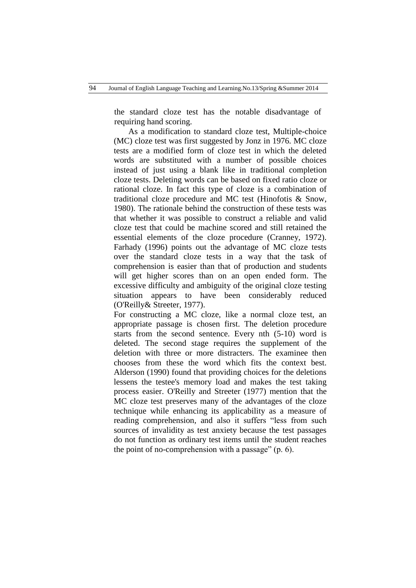the standard cloze test has the notable disadvantage of requiring hand scoring.

 As a modification to standard cloze test, Multiple-choice (MC) cloze test was first suggested by Jonz in 1976. MC cloze tests are a modified form of cloze test in which the deleted words are substituted with a number of possible choices instead of just using a blank like in traditional completion cloze tests. Deleting words can be based on fixed ratio cloze or rational cloze. In fact this type of cloze is a combination of traditional cloze procedure and MC test (Hinofotis & Snow, 1980). The rationale behind the construction of these tests was that whether it was possible to construct a reliable and valid cloze test that could be machine scored and still retained the essential elements of the cloze procedure (Cranney, 1972). Farhady (1996) points out the advantage of MC cloze tests over the standard cloze tests in a way that the task of comprehension is easier than that of production and students will get higher scores than on an open ended form. The excessive difficulty and ambiguity of the original cloze testing situation appears to have been considerably reduced (O'Reilly& Streeter, 1977).

For constructing a MC cloze, like a normal cloze test, an appropriate passage is chosen first. The deletion procedure starts from the second sentence. Every nth (5-10) word is deleted. The second stage requires the supplement of the deletion with three or more distracters. The examinee then chooses from these the word which fits the context best. Alderson (1990) found that providing choices for the deletions lessens the testee's memory load and makes the test taking process easier. O'Reilly and Streeter (1977) mention that the MC cloze test preserves many of the advantages of the cloze technique while enhancing its applicability as a measure of reading comprehension, and also it suffers "less from such sources of invalidity as test anxiety because the test passages do not function as ordinary test items until the student reaches the point of no-comprehension with a passage"  $(p, 6)$ .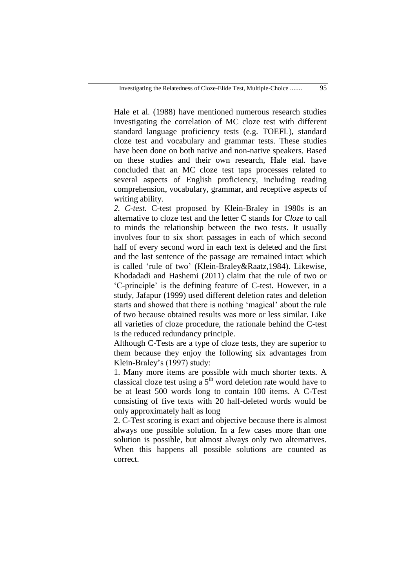Hale et al. (1988) have mentioned numerous research studies investigating the correlation of MC cloze test with different standard language proficiency tests (e.g. TOEFL), standard cloze test and vocabulary and grammar tests. These studies have been done on both native and non-native speakers. Based on these studies and their own research, Hale etal. have concluded that an MC cloze test taps processes related to several aspects of English proficiency, including reading comprehension, vocabulary, grammar, and receptive aspects of writing ability.

*2. C-test.* C-test proposed by Klein-Braley in 1980s is an alternative to cloze test and the letter C stands for *Cloze* to call to minds the relationship between the two tests. It usually involves four to six short passages in each of which second half of every second word in each text is deleted and the first and the last sentence of the passage are remained intact which is called 'rule of two' (Klein-Braley&Raatz,1984). Likewise, Khodadadi and Hashemi (2011) claim that the rule of two or ‗C-principle' is the defining feature of C-test. However, in a study, Jafapur (1999) used different deletion rates and deletion starts and showed that there is nothing 'magical' about the rule of two because obtained results was more or less similar. Like all varieties of cloze procedure, the rationale behind the C-test is the reduced redundancy principle.

Although C-Tests are a type of cloze tests, they are superior to them because they enjoy the following six advantages from Klein-Braley's (1997) study:

1. Many more items are possible with much shorter texts. A classical cloze test using a  $5<sup>th</sup>$  word deletion rate would have to be at least 500 words long to contain 100 items. A C-Test consisting of five texts with 20 half-deleted words would be only approximately half as long

2. C-Test scoring is exact and objective because there is almost always one possible solution. In a few cases more than one solution is possible, but almost always only two alternatives. When this happens all possible solutions are counted as correct.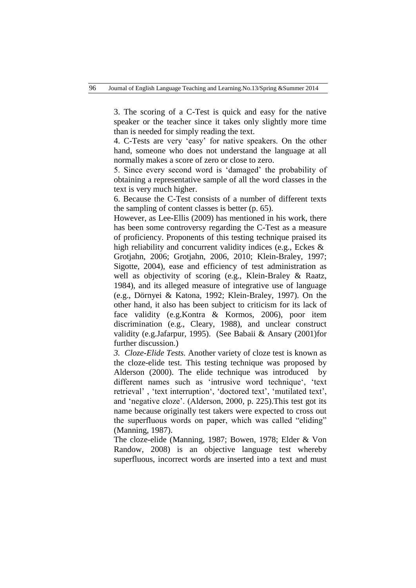3. The scoring of a C-Test is quick and easy for the native speaker or the teacher since it takes only slightly more time than is needed for simply reading the text.

4. C-Tests are very 'easy' for native speakers. On the other hand, someone who does not understand the language at all normally makes a score of zero or close to zero.

5. Since every second word is ‗damaged' the probability of obtaining a representative sample of all the word classes in the text is very much higher.

6. Because the C-Test consists of a number of different texts the sampling of content classes is better (p. 65).

However, as Lee-Ellis (2009) has mentioned in his work, there has been some controversy regarding the C-Test as a measure of proficiency. Proponents of this testing technique praised its high reliability and concurrent validity indices (e.g., Eckes & Grotjahn, 2006; Grotjahn, 2006, 2010; Klein-Braley, 1997; Sigotte, 2004), ease and efficiency of test administration as well as objectivity of scoring (e.g., Klein-Braley & Raatz, 1984), and its alleged measure of integrative use of language (e.g., Dörnyei & Katona, 1992; Klein-Braley, 1997). On the other hand, it also has been subject to criticism for its lack of face validity (e.g.Kontra & Kormos, 2006), poor item discrimination (e.g., Cleary, 1988), and unclear construct validity (e.g.Jafarpur, 1995). (See Babaii & Ansary (2001)for further discussion.)

*3. Cloze-Elide Tests.* Another variety of cloze test is known as the cloze-elide test. This testing technique was proposed by Alderson (2000). The elide technique was introduced by different names such as 'intrusive word technique', 'text retrieval', 'text interruption', 'doctored text', 'mutilated text', and 'negative cloze'. (Alderson, 2000, p. 225). This test got its name because originally test takers were expected to cross out the superfluous words on paper, which was called "eliding" (Manning, 1987).

The cloze-elide (Manning, 1987; Bowen, 1978; Elder & Von Randow, 2008) is an objective language test whereby superfluous, incorrect words are inserted into a text and must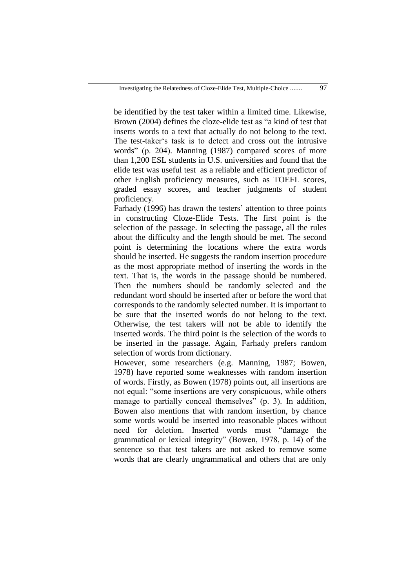be identified by the test taker within a limited time. Likewise, Brown (2004) defines the cloze-elide test as "a kind of test that inserts words to a text that actually do not belong to the text. The test-taker's task is to detect and cross out the intrusive words" (p. 204). Manning (1987) compared scores of more than 1,200 ESL students in U.S. universities and found that the elide test was useful test as a reliable and efficient predictor of other English proficiency measures, such as TOEFL scores, graded essay scores, and teacher judgments of student proficiency.

Farhady (1996) has drawn the testers' attention to three points in constructing Cloze-Elide Tests. The first point is the selection of the passage. In selecting the passage, all the rules about the difficulty and the length should be met. The second point is determining the locations where the extra words should be inserted. He suggests the random insertion procedure as the most appropriate method of inserting the words in the text. That is, the words in the passage should be numbered. Then the numbers should be randomly selected and the redundant word should be inserted after or before the word that corresponds to the randomly selected number. It is important to be sure that the inserted words do not belong to the text. Otherwise, the test takers will not be able to identify the inserted words. The third point is the selection of the words to be inserted in the passage. Again, Farhady prefers random selection of words from dictionary.

However, some researchers (e.g. Manning, 1987; Bowen, 1978) have reported some weaknesses with random insertion of words. Firstly, as Bowen (1978) points out, all insertions are not equal: "some insertions are very conspicuous, while others manage to partially conceal themselves" (p. 3). In addition, Bowen also mentions that with random insertion, by chance some words would be inserted into reasonable places without need for deletion. Inserted words must "damage the grammatical or lexical integrity" (Bowen, 1978, p. 14) of the sentence so that test takers are not asked to remove some words that are clearly ungrammatical and others that are only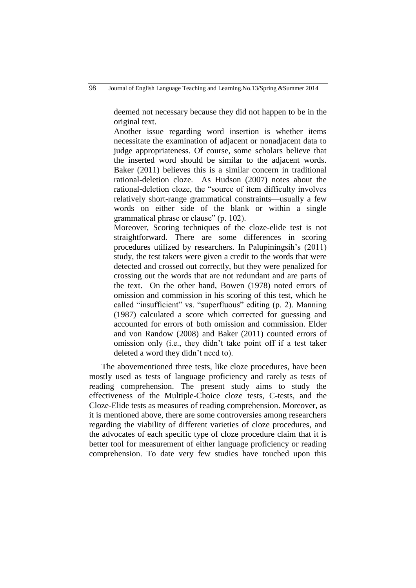deemed not necessary because they did not happen to be in the original text.

Another issue regarding word insertion is whether items necessitate the examination of adjacent or nonadjacent data to judge appropriateness. Of course, some scholars believe that the inserted word should be similar to the adjacent words. Baker (2011) believes this is a similar concern in traditional rational-deletion cloze. As Hudson (2007) notes about the rational-deletion cloze, the "source of item difficulty involves relatively short-range grammatical constraints—usually a few words on either side of the blank or within a single grammatical phrase or clause" (p. 102).

Moreover, Scoring techniques of the cloze-elide test is not straightforward. There are some differences in scoring procedures utilized by researchers. In Palupiningsih's (2011) study, the test takers were given a credit to the words that were detected and crossed out correctly, but they were penalized for crossing out the words that are not redundant and are parts of the text. On the other hand, Bowen (1978) noted errors of omission and commission in his scoring of this test, which he called "insufficient" vs. "superfluous" editing (p. 2). Manning (1987) calculated a score which corrected for guessing and accounted for errors of both omission and commission. Elder and von Randow (2008) and Baker (2011) counted errors of omission only (i.e., they didn't take point off if a test taker deleted a word they didn't need to).

The abovementioned three tests, like cloze procedures, have been mostly used as tests of language proficiency and rarely as tests of reading comprehension. The present study aims to study the effectiveness of the Multiple-Choice cloze tests, C-tests, and the Cloze-Elide tests as measures of reading comprehension. Moreover, as it is mentioned above, there are some controversies among researchers regarding the viability of different varieties of cloze procedures, and the advocates of each specific type of cloze procedure claim that it is better tool for measurement of either language proficiency or reading comprehension. To date very few studies have touched upon this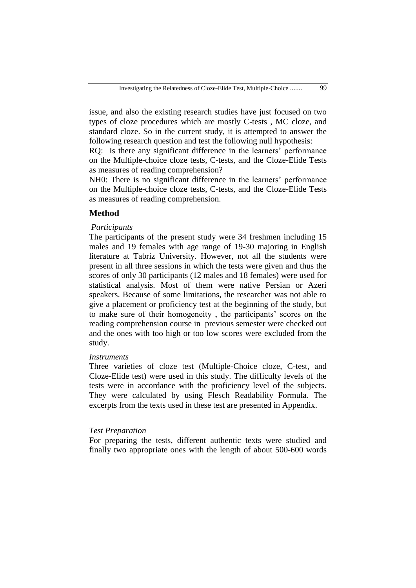issue, and also the existing research studies have just focused on two types of cloze procedures which are mostly C-tests , MC cloze, and standard cloze. So in the current study, it is attempted to answer the following research question and test the following null hypothesis:

RQ: Is there any significant difference in the learners' performance on the Multiple-choice cloze tests, C-tests, and the Cloze-Elide Tests as measures of reading comprehension?

NH0: There is no significant difference in the learners' performance on the Multiple-choice cloze tests, C-tests, and the Cloze-Elide Tests as measures of reading comprehension.

# **Method**

#### *Participants*

The participants of the present study were 34 freshmen including 15 males and 19 females with age range of 19-30 majoring in English literature at Tabriz University. However, not all the students were present in all three sessions in which the tests were given and thus the scores of only 30 participants (12 males and 18 females) were used for statistical analysis. Most of them were native Persian or Azeri speakers. Because of some limitations, the researcher was not able to give a placement or proficiency test at the beginning of the study, but to make sure of their homogeneity , the participants' scores on the reading comprehension course in previous semester were checked out and the ones with too high or too low scores were excluded from the study.

## *Instruments*

Three varieties of cloze test (Multiple-Choice cloze, C-test, and Cloze-Elide test) were used in this study. The difficulty levels of the tests were in accordance with the proficiency level of the subjects. They were calculated by using Flesch Readability Formula. The excerpts from the texts used in these test are presented in Appendix.

#### *Test Preparation*

For preparing the tests, different authentic texts were studied and finally two appropriate ones with the length of about 500-600 words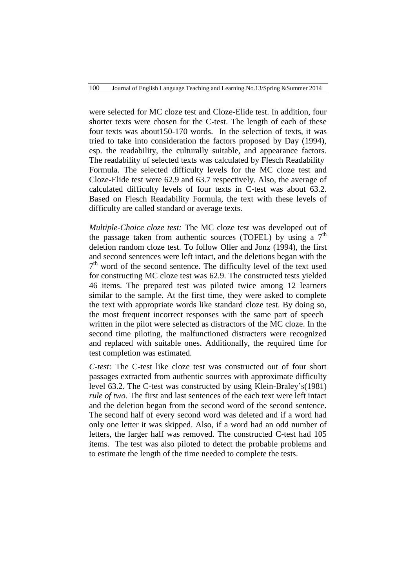were selected for MC cloze test and Cloze-Elide test. In addition, four shorter texts were chosen for the C-test. The length of each of these four texts was about150-170 words. In the selection of texts, it was tried to take into consideration the factors proposed by Day (1994), esp. the readability, the culturally suitable, and appearance factors. The readability of selected texts was calculated by Flesch Readability Formula. The selected difficulty levels for the MC cloze test and Cloze-Elide test were 62.9 and 63.7 respectively. Also, the average of calculated difficulty levels of four texts in C-test was about 63.2. Based on Flesch Readability Formula, the text with these levels of difficulty are called standard or average texts.

*Multiple-Choice cloze test:* The MC cloze test was developed out of the passage taken from authentic sources (TOFEL) by using a  $7<sup>th</sup>$ deletion random cloze test. To follow Oller and Jonz (1994), the first and second sentences were left intact, and the deletions began with the 7<sup>th</sup> word of the second sentence. The difficulty level of the text used for constructing MC cloze test was 62.9. The constructed tests yielded 46 items. The prepared test was piloted twice among 12 learners similar to the sample. At the first time, they were asked to complete the text with appropriate words like standard cloze test. By doing so, the most frequent incorrect responses with the same part of speech written in the pilot were selected as distractors of the MC cloze. In the second time piloting, the malfunctioned distracters were recognized and replaced with suitable ones. Additionally, the required time for test completion was estimated.

*C-test:* The C-test like cloze test was constructed out of four short passages extracted from authentic sources with approximate difficulty level 63.2. The C-test was constructed by using Klein-Braley's(1981) *rule of two.* The first and last sentences of the each text were left intact and the deletion began from the second word of the second sentence. The second half of every second word was deleted and if a word had only one letter it was skipped. Also, if a word had an odd number of letters, the larger half was removed. The constructed C-test had 105 items. The test was also piloted to detect the probable problems and to estimate the length of the time needed to complete the tests.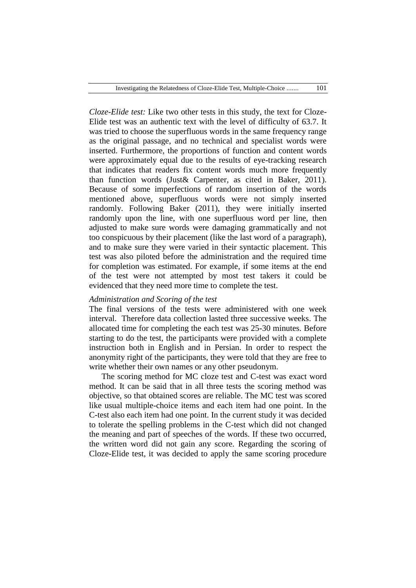*Cloze-Elide test:* Like two other tests in this study, the text for Cloze-Elide test was an authentic text with the level of difficulty of 63.7. It was tried to choose the superfluous words in the same frequency range as the original passage, and no technical and specialist words were inserted. Furthermore, the proportions of function and content words were approximately equal due to the results of eye-tracking research that indicates that readers fix content words much more frequently than function words (Just& Carpenter, as cited in Baker, 2011). Because of some imperfections of random insertion of the words mentioned above, superfluous words were not simply inserted randomly. Following Baker (2011), they were initially inserted randomly upon the line, with one superfluous word per line, then adjusted to make sure words were damaging grammatically and not too conspicuous by their placement (like the last word of a paragraph), and to make sure they were varied in their syntactic placement. This test was also piloted before the administration and the required time for completion was estimated. For example, if some items at the end of the test were not attempted by most test takers it could be evidenced that they need more time to complete the test.

### *Administration and Scoring of the test*

The final versions of the tests were administered with one week interval. Therefore data collection lasted three successive weeks. The allocated time for completing the each test was 25-30 minutes. Before starting to do the test, the participants were provided with a complete instruction both in English and in Persian. In order to respect the anonymity right of the participants, they were told that they are free to write whether their own names or any other pseudonym.

The scoring method for MC cloze test and C-test was exact word method. It can be said that in all three tests the scoring method was objective, so that obtained scores are reliable. The MC test was scored like usual multiple-choice items and each item had one point. In the C-test also each item had one point. In the current study it was decided to tolerate the spelling problems in the C-test which did not changed the meaning and part of speeches of the words. If these two occurred, the written word did not gain any score. Regarding the scoring of Cloze-Elide test, it was decided to apply the same scoring procedure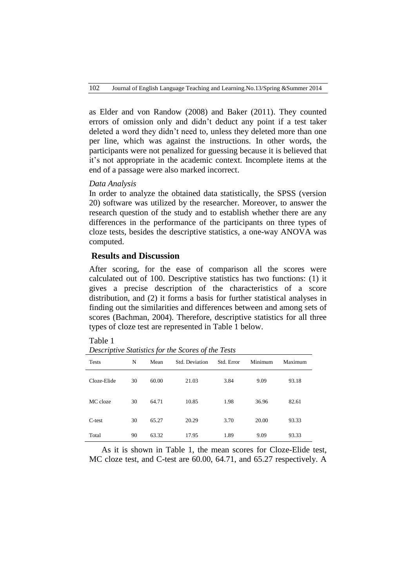as Elder and von Randow (2008) and Baker (2011). They counted errors of omission only and didn't deduct any point if a test taker deleted a word they didn't need to, unless they deleted more than one per line, which was against the instructions. In other words, the participants were not penalized for guessing because it is believed that it's not appropriate in the academic context. Incomplete items at the end of a passage were also marked incorrect.

## *Data Analysis*

In order to analyze the obtained data statistically, the SPSS (version 20) software was utilized by the researcher. Moreover, to answer the research question of the study and to establish whether there are any differences in the performance of the participants on three types of cloze tests, besides the descriptive statistics, a one-way ANOVA was computed.

# **Results and Discussion**

After scoring, for the ease of comparison all the scores were calculated out of 100. Descriptive statistics has two functions: (1) it gives a precise description of the characteristics of a score distribution, and (2) it forms a basis for further statistical analyses in finding out the similarities and differences between and among sets of scores (Bachman, 2004). Therefore, descriptive statistics for all three types of cloze test are represented in Table 1 below.

| ante |  |
|------|--|
|------|--|

*Descriptive Statistics for the Scores of the Tests*

| <b>Tests</b> | N  | Mean  | Std. Deviation | Std. Error | Minimum | Maximum |
|--------------|----|-------|----------------|------------|---------|---------|
| Cloze-Elide  | 30 | 60.00 | 21.03          | 3.84       | 9.09    | 93.18   |
| MC cloze     | 30 | 64.71 | 10.85          | 1.98       | 36.96   | 82.61   |
| C-test       | 30 | 65.27 | 20.29          | 3.70       | 20.00   | 93.33   |
| Total        | 90 | 63.32 | 17.95          | 1.89       | 9.09    | 93.33   |

As it is shown in Table 1, the mean scores for Cloze-Elide test, MC cloze test, and C-test are 60.00, 64.71, and 65.27 respectively. A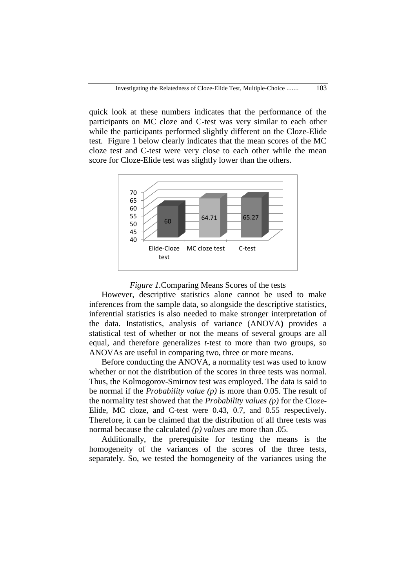quick look at these numbers indicates that the performance of the participants on MC cloze and C-test was very similar to each other while the participants performed slightly different on the Cloze-Elide test. Figure 1 below clearly indicates that the mean scores of the MC cloze test and C-test were very close to each other while the mean score for Cloze-Elide test was slightly lower than the others.



#### *Figure 1.*Comparing Means Scores of the tests

However, descriptive statistics alone cannot be used to make inferences from the sample data, so alongside the descriptive statistics, inferential statistics is also needed to make stronger interpretation of the data. I[nstatistics,](http://en.wikipedia.org/wiki/Statistics) analysis of variance (ANOVA**)** provides a [statistical test](http://en.wikipedia.org/wiki/Statistical_test) of whether or not the [means](http://en.wikipedia.org/wiki/Mean) of several groups are all equal, and therefore generalizes *t*[-test](http://en.wikipedia.org/wiki/Student%27s_t-test#Independent_two-sample_t-test) to more than two groups, so ANOVAs are useful in comparing two, three or more means.

Before conducting the ANOVA, a normality test was used to know whether or not the distribution of the scores in three tests was normal. Thus, the Kolmogorov-Smirnov test was employed. The data is said to be normal if the *Probability value (p)* is more than 0.05. The result of the normality test showed that the *Probability values (p)* for the Cloze-Elide, MC cloze, and C-test were 0.43, 0.7, and 0.55 respectively. Therefore, it can be claimed that the distribution of all three tests was normal because the calculated *(p) values* are more than .05.

Additionally, the prerequisite for testing the means is the homogeneity of the variances of the scores of the three tests, separately. So, we tested the homogeneity of the variances using the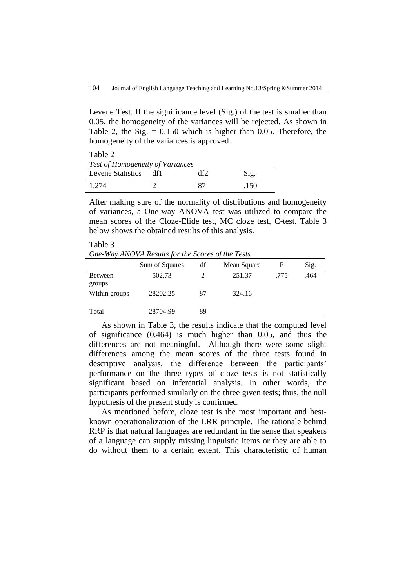Levene Test. If the significance level (Sig.) of the test is smaller than 0.05, the homogeneity of the variances will be rejected. As shown in Table 2, the Sig. = 0.150 which is higher than 0.05. Therefore, the homogeneity of the variances is approved.

Table 2 *Test of Homogeneity of Variances* Levene Statistics df1 df2 Sig. 1.274 2 87 .150

After making sure of the normality of distributions and homogeneity of variances, a One-way ANOVA test was utilized to compare the mean scores of the Cloze-Elide test, MC cloze test, C-test. Table 3 below shows the obtained results of this analysis.

Table 3 *One-Way ANOVA Results for the Scores of the Tests*

|                          | Sum of Squares | df | Mean Square | F    | Sig. |
|--------------------------|----------------|----|-------------|------|------|
| <b>Between</b><br>groups | 502.73         | ∍  | 251.37      | .775 | .464 |
| Within groups            | 28202.25       | 87 | 324.16      |      |      |
| Total                    | 28704.99       | 89 |             |      |      |

As shown in Table 3, the results indicate that the computed level of significance (0.464) is much higher than 0.05, and thus the differences are not meaningful. Although there were some slight differences among the mean scores of the three tests found in descriptive analysis, the difference between the participants' performance on the three types of cloze tests is not statistically significant based on inferential analysis. In other words, the participants performed similarly on the three given tests; thus, the null hypothesis of the present study is confirmed.

As mentioned before, cloze test is the most important and bestknown operationalization of the LRR principle. The rationale behind RRP is that natural languages are redundant in the sense that speakers of a language can supply missing linguistic items or they are able to do without them to a certain extent. This characteristic of human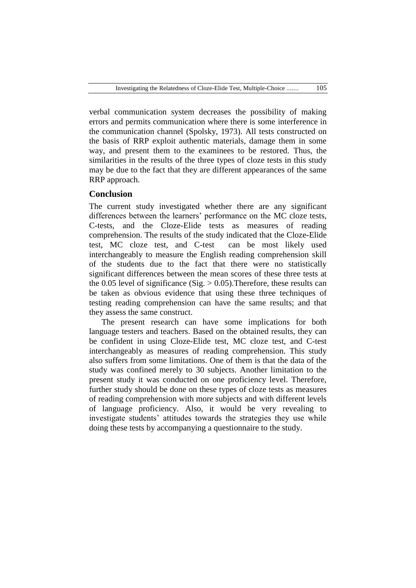verbal communication system decreases the possibility of making errors and permits communication where there is some interference in the communication channel (Spolsky, 1973). All tests constructed on the basis of RRP exploit authentic materials, damage them in some way, and present them to the examinees to be restored. Thus, the similarities in the results of the three types of cloze tests in this study may be due to the fact that they are different appearances of the same RRP approach.

### **Conclusion**

The current study investigated whether there are any significant differences between the learners' performance on the MC cloze tests, C-tests, and the Cloze-Elide tests as measures of reading comprehension. The results of the study indicated that the Cloze-Elide test, MC cloze test, and C-test can be most likely used interchangeably to measure the English reading comprehension skill of the students due to the fact that there were no statistically significant differences between the mean scores of these three tests at the 0.05 level of significance (Sig.  $> 0.05$ ). Therefore, these results can be taken as obvious evidence that using these three techniques of testing reading comprehension can have the same results; and that they assess the same construct.

The present research can have some implications for both language testers and teachers. Based on the obtained results, they can be confident in using Cloze-Elide test, MC cloze test, and C-test interchangeably as measures of reading comprehension. This study also suffers from some limitations. One of them is that the data of the study was confined merely to 30 subjects. Another limitation to the present study it was conducted on one proficiency level. Therefore, further study should be done on these types of cloze tests as measures of reading comprehension with more subjects and with different levels of language proficiency. Also, it would be very revealing to investigate students' attitudes towards the strategies they use while doing these tests by accompanying a questionnaire to the study.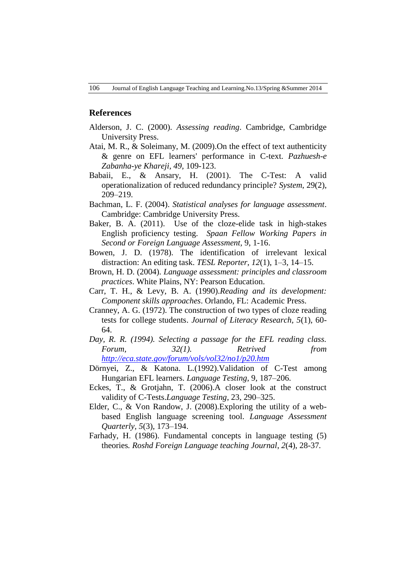#### **References**

- Alderson, J. C. (2000). *Assessing reading*. Cambridge, Cambridge University Press.
- Atai, M. R., & Soleimany, M. (2009).On the effect of text authenticity & genre on EFL learners' performance in C-text. *Pazhuesh-e Zabanha-ye Khareji, 49,* 109-123.
- Babaii, E., & Ansary, H. (2001). The C-Test: A valid operationalization of reduced redundancy principle? *System*, 29(2), 209–219.
- Bachman, L. F. (2004). *Statistical analyses for language assessment*. Cambridge: Cambridge University Press.
- Baker, B. A. (2011). Use of the cloze-elide task in high-stakes English proficiency testing. *Spaan Fellow Working Papers in Second or Foreign Language Assessment,* 9, 1-16.
- Bowen, J. D. (1978). The identification of irrelevant lexical distraction: An editing task. *TESL Reporter*, *12*(1), 1–3, 14–15.
- Brown, H. D. (2004). *Language assessment: principles and classroom practices*. White Plains, NY: Pearson Education.
- Carr, T. H., & Levy, B. A. (1990).*Reading and its development: Component skills approaches*. Orlando, FL: Academic Press.
- Cranney, A. G. (1972). The construction of two types of cloze reading tests for college students. *Journal of Literacy Research, 5*(1), 60- 64.
- *Day, R. R. (1994). Selecting a passage for the EFL reading class. Forum, 32(1). Retrived from <http://eca.state.gov/forum/vols/vol32/no1/p20.htm>*
- Dörnyei, Z., & Katona. L.(1992).Validation of C-Test among Hungarian EFL learners. *Language Testing*, 9, 187–206.
- Eckes, T., & Grotjahn, T. (2006).A closer look at the construct validity of C-Tests.*Language Testing*, 23, 290–325.
- Elder, C., & Von Randow, J. (2008).Exploring the utility of a webbased English language screening tool. *Language Assessment Quarterly, 5*(3), 173–194.
- Farhady, H. (1986). Fundamental concepts in language testing (5) theories*. Roshd Foreign Language teaching Journal*, *2*(4), 28-37*.*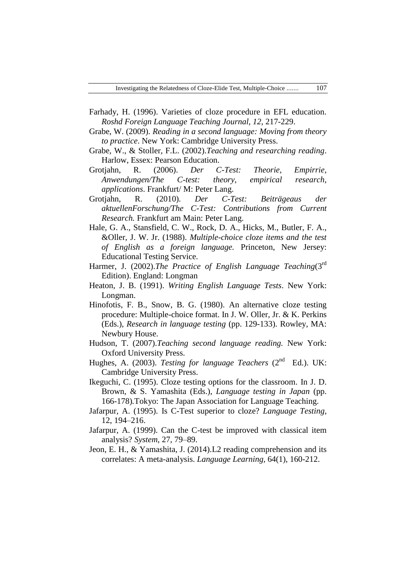- Farhady, H. (1996). Varieties of cloze procedure in EFL education. *Roshd Foreign Language Teaching Journal, 12*, 217-229.
- Grabe, W. (2009). *Reading in a second language: Moving from theory to practice*. New York: Cambridge University Press.
- Grabe, W., & Stoller, F.L. (2002).*Teaching and researching reading*. Harlow, Essex: Pearson Education.
- Grotjahn, R. (2006). *Der C-Test: Theorie, Empirrie, Anwendungen/The C-test: theory, empirical research, applications*. Frankfurt/ M: Peter Lang.
- Grotjahn, R. (2010). *Der C-Test: Beiträgeaus der aktuellenForschung/The C-Test: Contributions from Current Research.* Frankfurt am Main: Peter Lang.
- Hale, G. A., Stansfield, C. W., Rock, D. A., Hicks, M., Butler, F. A., &Oller, J. W. Jr. (1988). *Multiple-choice cloze items and the test of English as a foreign language.* Princeton, New Jersey: Educational Testing Service.
- Harmer, J. (2002).*The Practice of English Language Teaching*(3<sup>rd</sup> Edition). England: Longman
- Heaton, J. B. (1991). *Writing English Language Tests*. New York: Longman.
- Hinofotis, F. B., Snow, B. G. (1980). An alternative cloze testing procedure: Multiple-choice format. In J. W. Oller, Jr. & K. Perkins (Eds.), *Research in language testing* (pp. 129-133). Rowley, MA: Newbury House.
- Hudson, T. (2007).*Teaching second language reading.* New York: Oxford University Press.
- Hughes, A. (2003). *Testing for language Teachers* (2<sup>nd</sup> Ed.). UK: Cambridge University Press.
- Ikeguchi, C. (1995). Cloze testing options for the classroom. In J. D. Brown, & S. Yamashita (Eds.), *Language testing in Japan* (pp. 166-178)*.*Tokyo: The Japan Association for Language Teaching.
- Jafarpur, A. (1995). Is C-Test superior to cloze? *Language Testing*, 12, 194–216.
- Jafarpur, A. (1999). Can the C-test be improved with classical item analysis? *System*, 27, 79–89.
- Jeon, E. H., & Yamashita, J. (2014).L2 reading comprehension and its correlates: A meta-analysis. *Language Learning,* 64(1), 160-212.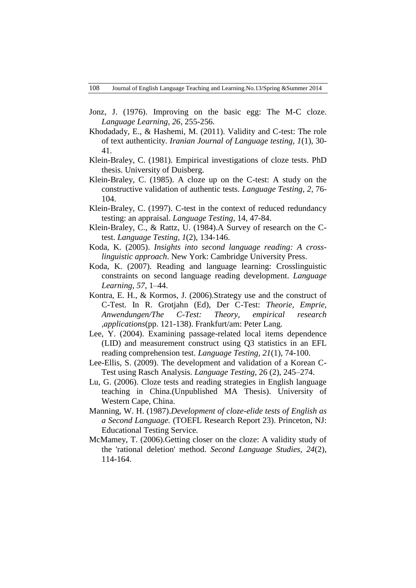- Jonz, J. (1976). Improving on the basic egg: The M-C cloze. *Language Learning, 26*, 255-256.
- Khodadady, E., & Hashemi, M. (2011). Validity and C-test: The role of text authenticity. *Iranian Journal of Language testing, 1*(1), 30- 41.
- Klein-Braley, C. (1981). Empirical investigations of cloze tests. PhD thesis. University of Duisberg.
- Klein-Braley, C. (1985). A cloze up on the C-test: A study on the constructive validation of authentic tests. *Language Testing, 2*, 76- 104.
- Klein-Braley, C. (1997). C-test in the context of reduced redundancy testing: an appraisal. *Language Testing,* 14, 47-84.
- Klein-Braley, C., & Rattz, U. (1984).A Survey of research on the Ctest. *Language Testing, 1*(2), 134-146.
- Koda, K. (2005). *Insights into second language reading: A crosslinguistic approach*. New York: Cambridge University Press.
- Koda, K. (2007). Reading and language learning: Crosslinguistic constraints on second language reading development. *Language Learning*, *57*, 1–44.
- Kontra, E. H., & Kormos, J. (2006).Strategy use and the construct of C-Test. In R. Grotjahn (Ed), Der C-Test: *Theorie, Emprie, Anwendungen/The C-Test: Theory, empirical research ,applications*(pp. 121-138). Frankfurt/am: Peter Lang.
- Lee, Y. (2004). Examining passage-related local items dependence (LID) and measurement construct using Q3 statistics in an EFL reading comprehension test. *Language Testing, 21*(1), 74-100.
- Lee-Ellis, S. (2009). The development and validation of a Korean C-Test using Rasch Analysis. *Language Testing,* 26 (2), 245–274.
- Lu, G. (2006). Cloze tests and reading strategies in English language teaching in China.(Unpublished MA Thesis). University of Western Cape, China.
- Manning, W. H. (1987).*Development of cloze-elide tests of English as a Second Language.* (TOEFL Research Report 23). Princeton, NJ: Educational Testing Service.
- McMamey, T. (2006).Getting closer on the cloze: A validity study of the 'rational deletion' method. *Second Language Studies, 24*(2), 114-164.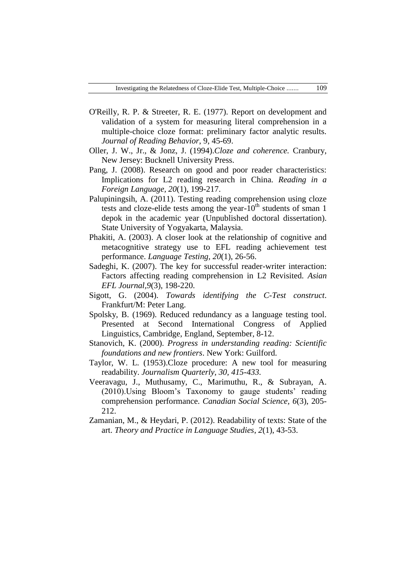- O'Reilly, R. P. & Streeter, R. E. (1977). Report on development and validation of a system for measuring literal comprehension in a multiple-choice cloze format: preliminary factor analytic results. *Journal of Reading Behavior*, 9, 45-69.
- Oller, J. W., Jr., & Jonz, J. (1994).*Cloze and coherence.* Cranbury, New Jersey: Bucknell University Press.
- Pang, J. (2008). Research on good and poor reader characteristics: Implications for L2 reading research in China. *Reading in a Foreign Language, 20*(1), 199-217.
- Palupiningsih, A. (2011). Testing reading comprehension using cloze tests and cloze-elide tests among the year- $10^{th}$  students of sman 1 depok in the academic year (Unpublished doctoral dissertation). State University of Yogyakarta, Malaysia.
- Phakiti, A. (2003). A closer look at the relationship of cognitive and metacognitive strategy use to EFL reading achievement test performance. *Language Testing, 20*(1), 26-56.
- Sadeghi, K. (2007). The key for successful reader-writer interaction: Factors affecting reading comprehension in L2 Revisited. *Asian EFL Journal,9*(3), 198-220.
- Sigott, G. (2004). *Towards identifying the C-Test construct*. Frankfurt/M: Peter Lang.
- Spolsky, B. (1969). Reduced redundancy as a language testing tool. Presented at Second International Congress of Applied Linguistics, Cambridge, England, September, 8-12.
- Stanovich, K. (2000). *Progress in understanding reading: Scientific foundations and new frontiers*. New York: Guilford.
- Taylor, W. L. (1953).Cloze procedure: A new tool for measuring readability. *Journalism Quarterly, 30, 415-433.*
- Veeravagu, J., Muthusamy, C., Marimuthu, R., & Subrayan, A. (2010).Using Bloom's Taxonomy to gauge students' reading comprehension performance. *Canadian Social Science, 6*(3), 205- 212.
- Zamanian, M., & Heydari, P. (2012). Readability of texts: State of the art. *Theory and Practice in Language Studies*, *2*(1), 43-53.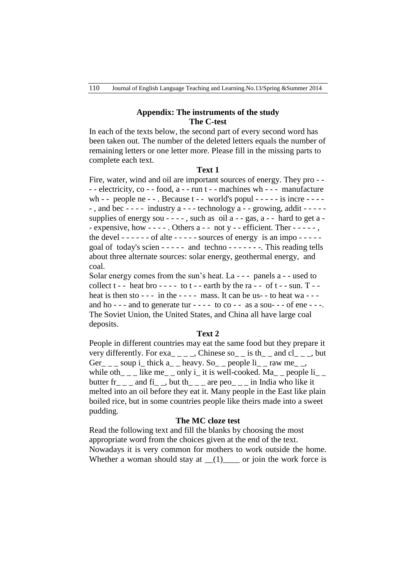## **Appendix: The instruments of the study The C-test**

In each of the texts below, the second part of every second word has been taken out. The number of the deleted letters equals the number of remaining letters or one letter more. Please fill in the missing parts to complete each text.

#### **Text 1**

Fire, water, wind and oil are important sources of energy. They pro - - - - electricity, co - - food, a - - run t - - machines wh - - - manufacture wh - - people ne - - . Because  $t -$  - world's popul - - - - - is incre - - - --, and bec  $-$  -  $-$  - industry a  $-$  -  $-$  technology a  $-$  - growing, addit  $-$  -  $-$  supplies of energy sou - - - -, such as oil  $a - gas$ ,  $a - hard$  to get  $a - gas$ . - expensive, how  $---$  . Others a  $---$  not y  $---$  efficient. Ther  $---$ , the devel  $----$  - of alte  $----$  sources of energy is an impo  $---$ goal of today's scien - - - - - and techno - - - - - - -. This reading tells about three alternate sources: solar energy, geothermal energy, and coal.

Solar energy comes from the sun's heat. La - - - panels a - - used to collect  $t - -$  heat bro  $- - -$  to  $t -$  - earth by the ra  $- -$  of  $t -$  - sun. T  $$ heat is then  $sto - -$  in the  $--$  -  $-$  mass. It can be us-  $-$  to heat wa  $-$ and ho - - - and to generate tur - - - - to  $\cos$  - -  $\sin$  as a sou- - - of ene - - -. The Soviet Union, the United States, and China all have large coal deposits.

### **Text 2**

People in different countries may eat the same food but they prepare it very differently. For  $exa_{-}$   $\_\_$ . Chinese so  $\_\_$  is th $\_\_$  and cl $\_\_$ , but Ger \_ \_ soup i\_ thick a\_ \_ heavy. So\_ \_ people  $\rm{li}$  \_ raw me\_ \_, while oth\_\_\_ like me\_\_ only i\_ it is well-cooked. Ma\_\_ people  $li\_$ butter  $fr_{---}$  and  $fi_{---}$ , but th $_{---}$  are peo $_{---}$  in India who like it melted into an oil before they eat it. Many people in the East like plain boiled rice, but in some countries people like theirs made into a sweet pudding.

# **The MC cloze test**

Read the following text and fill the blanks by choosing the most appropriate word from the choices given at the end of the text. Nowadays it is very common for mothers to work outside the home. Whether a woman should stay at  $(1)$  or join the work force is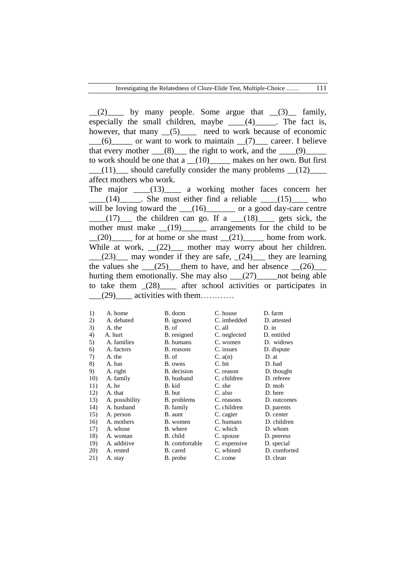$(2)$  by many people. Some argue that  $(3)$  family, especially the small children, maybe  $(4)$  (4) The fact is, however, that many  $(5)$  need to work because of economic  $(6)$  or want to work to maintain  $(7)$  career. I believe that every mother  $(8)$  the right to work, and the  $(9)$ to work should be one that a  $(10)$  makes on her own. But first  $(11)$  should carefully consider the many problems  $(12)$ affect mothers who work.

The major  $\frac{13}{2}$  a working mother faces concern her  $(14)$  . She must either find a reliable  $(15)$  who will be loving toward the  $(16)$  or a good day-care centre  $(17)$  the children can go. If a  $(18)$  gets sick, the mother must make  $(19)$  arrangements for the child to be  $(20)$  for at home or she must  $(21)$  home from work. While at work,  $(22)$  mother may worry about her children.  $(23)$  may wonder if they are safe,  $(24)$  they are learning the values she  $(25)$  them to have, and her absence  $(26)$ hurting them emotionally. She may also  $\frac{27}{20}$  not being able to take them \_(28)\_\_\_\_ after school activities or participates in  $(29)$  activities with them…………

| 1)  | A. home        | B. dorm          | C. house     | D. farm      |
|-----|----------------|------------------|--------------|--------------|
| 2)  | A. debated     | B. ignored       | C. imbedded  | D. attested  |
| 3)  | A. the         | B. of            | C. all       | $D \cdot$ in |
| 4)  | A. hurt        | B. resigned      | C. neglected | D. entitled  |
| 5)  | A. families    | <b>B.</b> humans | C. women     | D. widows    |
| 6)  | A. factors     | B. reasons       | C. issues    | D. dispute   |
| 7)  | A. the         | B. of            | C. a(n)      | D. at        |
| 8)  | A. has         | B. owns          | C. bit       | D. had       |
| 9)  | A. right       | B. decision      | C. reason    | D. thought   |
| 10) | A. family      | B. husband       | C. children  | D. referee   |
| 11) | A. he          | B. kid           | C. she       | D. mob       |
| 12) | A. that        | B. but           | C. also      | D. here      |
| 13) | A. possibility | B. problems      | C. reasons   | D. outcomes  |
| 14) | A. husband     | B. family        | C. children  | D. parents   |
| 15) | A. person      | B. aunt          | C. cagier    | D. center    |
| 16) | A. mothers     | B. women         | C. humans    | D. children  |
| 17) | A. whose       | B. where         | C. which     | D. whom      |
| 18) | A. woman       | B. child         | C. spouse    | D. peeress   |
| 19) | A. additive    | B. comfortable   | C. expensive | D. special   |
| 20) | A. rested      | B. cared         | C. whined    | D. comforted |
| 21) | A. stay        | B. probe         | C. come      | D. clean     |